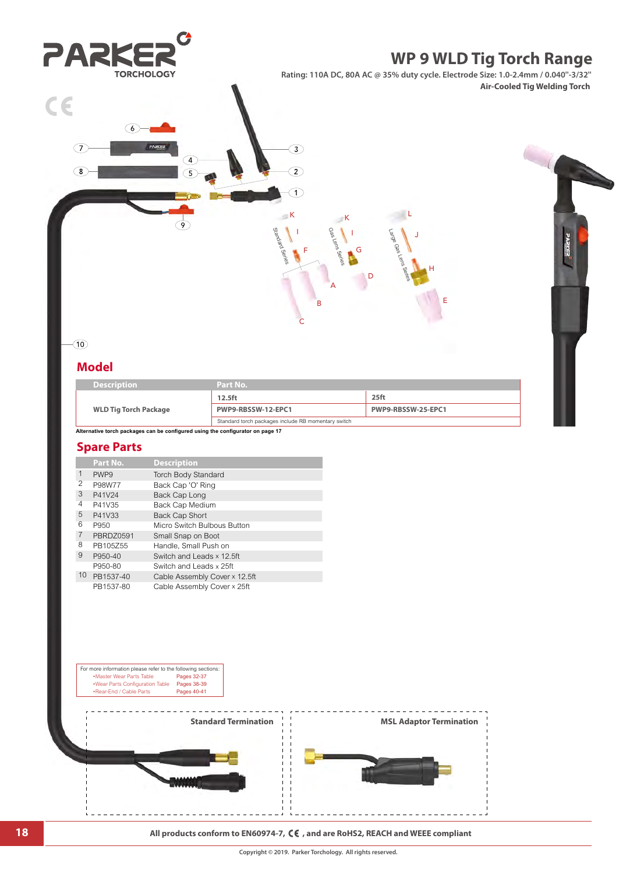

**18 All products conform to EN60974-7,**  $\zeta \boldsymbol{\epsilon}$  , and are RoHS2, REACH and WEEE compliant